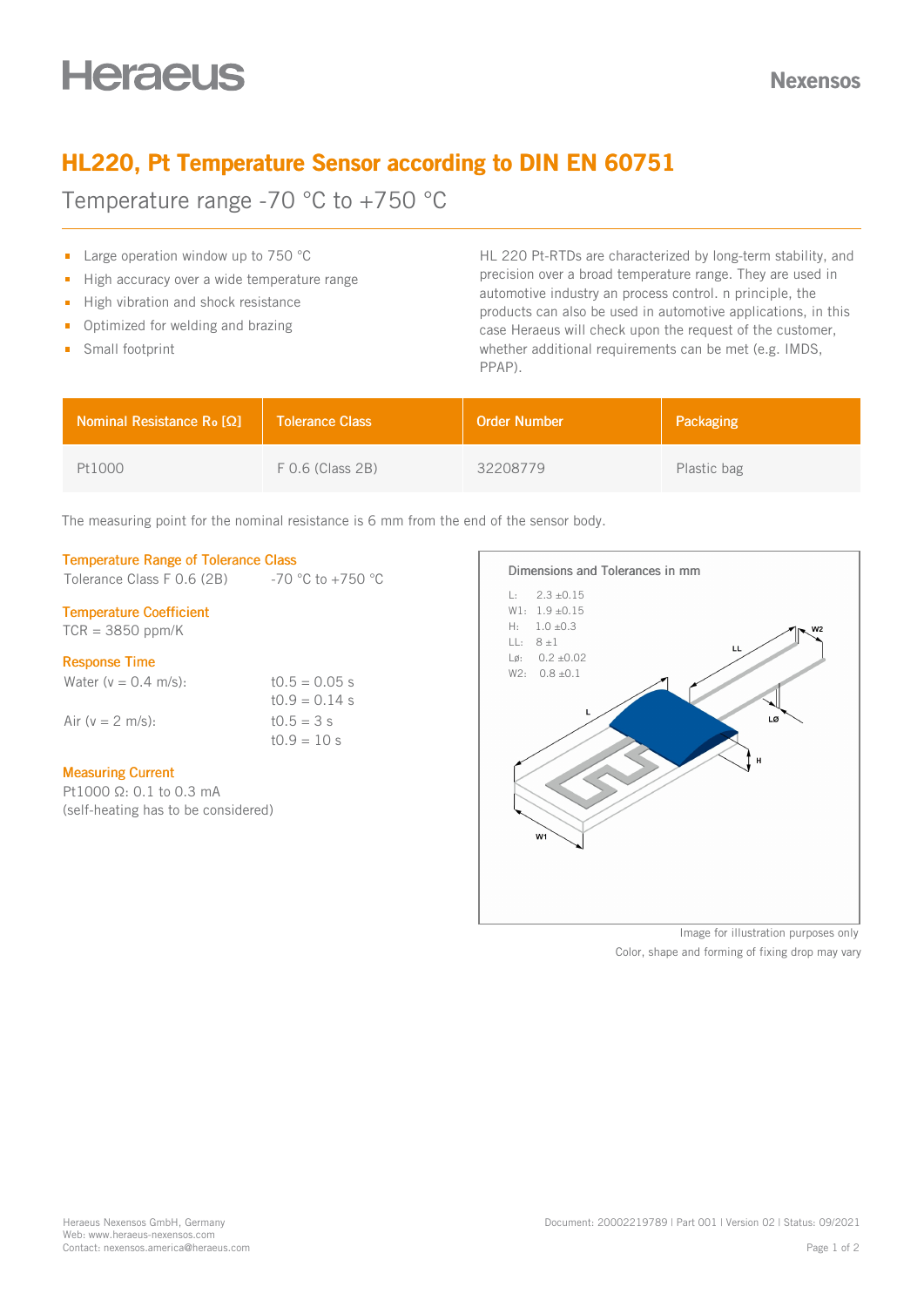# **Heraeus**

# HL220, Pt Temperature Sensor according to DIN EN 60751

Temperature range -70 °C to +750 °C

- **Large operation window up to 750 °C**
- High accuracy over a wide temperature range  $\blacksquare$
- High vibration and shock resistance
- Optimized for welding and brazing  $\mathbf{m}$
- **Small footprint**

HL 220 Pt-RTDs are characterized by long-term stability, and precision over a broad temperature range. They are used in automotive industry an process control. n principle, the products can also be used in automotive applications, in this case Heraeus will check upon the request of the customer, whether additional requirements can be met (e.g. IMDS, PPAP).

| <b>Nominal Resistance R<sub>o</sub> [Ω]</b> | <b>Tolerance Class</b> | <b>Order Number</b> | Packaging   |
|---------------------------------------------|------------------------|---------------------|-------------|
| Pt1000                                      | $F$ 0.6 (Class 2B)     | 32208779            | Plastic bag |

The measuring point for the nominal resistance is 6 mm from the end of the sensor body.

#### Temperature Range of Tolerance Class

Tolerance Class F 0.6 (2B)  $-70 °C$  to +750  $°C$ 

#### Temperature Coefficient

 $TCR = 3850$  ppm/K

#### Response Time

| Water ( $v = 0.4$ m/s): | $10.5 = 0.05$ s |
|-------------------------|-----------------|
|                         | $10.9 = 0.14$ s |
| Air ( $v = 2$ m/s):     | $t0.5 = 3 s$    |
|                         | $t0.9 = 10 s$   |

#### Measuring Current

Pt1000 Ω: 0.1 to 0.3 mA (self-heating has to be considered)



Color, shape and forming of fixing drop may vary